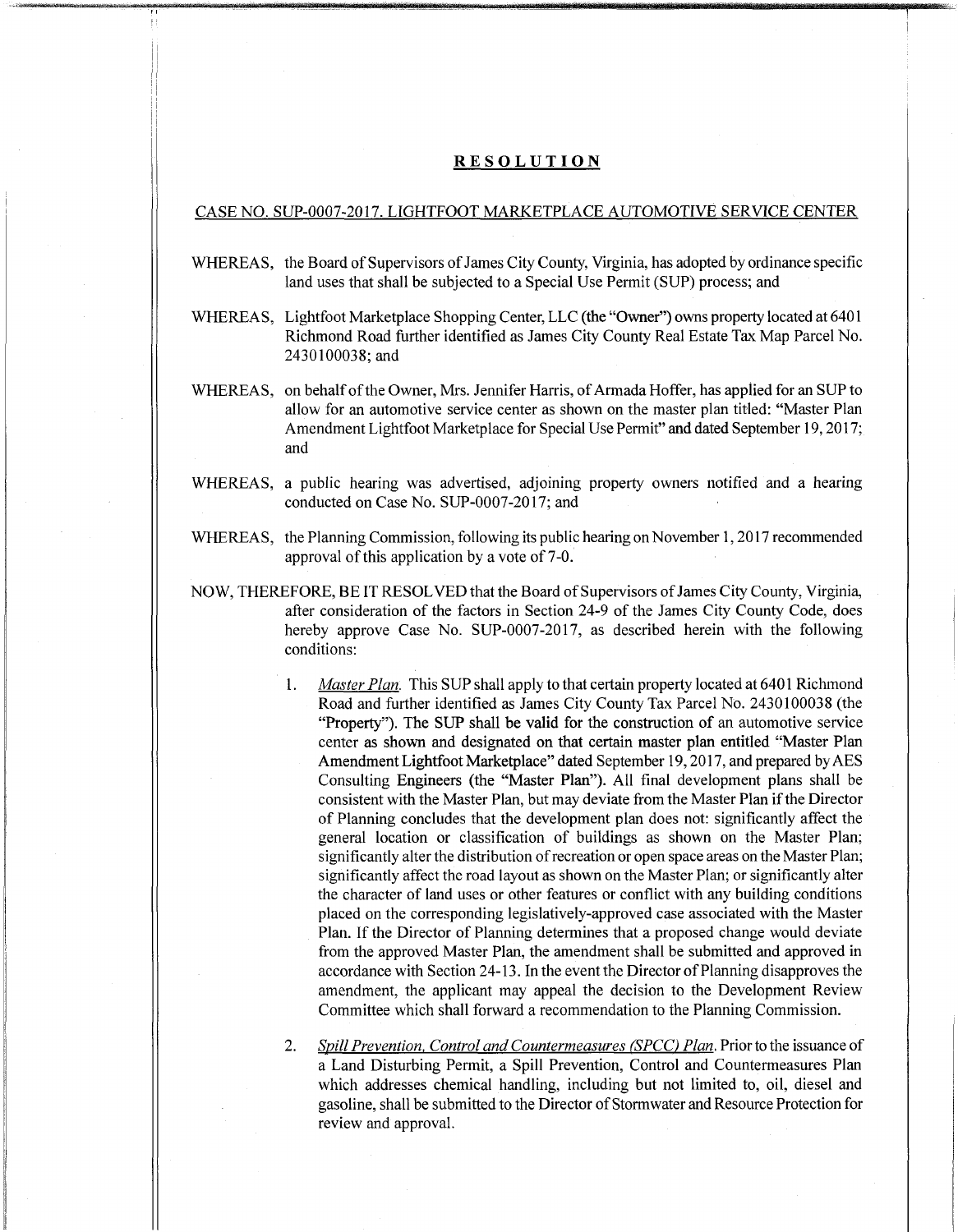## **RESOLUTION**

## CASE NO. SUP-0007-2017. LIGHTFOOT MARKETPLACE AUTOMOTIVE SERVICE CENTER

- WHEREAS, the Board of Supervisors of James City County, Virginia, has adopted by ordinance specific land uses that shall be subjected to a Special Use Permit (SUP) process; and
- WHEREAS, Lightfoot Marketplace Shopping Center, LLC (the "Owner") owns property located at 6401 Richmond Road further identified as James City County Real Estate Tax Map Parcel No. 2430100038;and
- WHEREAS, on behalf of the Owner, Mrs. Jennifer Harris, of Armada Hoffer, has applied for an SUP to allow for an automotive service center as shown on the master plan titled: "Master Plan Amendment Lightfoot Marketplace for Special Use Permit" and dated September 19,2017; and
- WHEREAS, a public hearing was advertised, adjoining property owners notified and a hearing conducted on Case No. SUP-0007-2017; and
- WHEREAS, the Planning Commission, following its public hearing on November 1, 2017 recommended approval of this application by a vote of 7-0.
- NOW, THEREFORE, BE IT RESOLVED that the Board ofSupervisors ofJames City County, Virginia, after consideration of the factors in Section 24-9 of the James City County Code, does hereby approve Case No. SUP-0007-2017, as described herein with the following conditions:
	- 1. *Master Plan.* This SUP shall apply to that certain property located at 6401 Richmond Road and further identified as James City County Tax Parcel No. 2430100038 (the "Property"). The SUP shall be valid for the construction of an automotive service center as shown and designated on that certain master plan entitled "Master Plan Amendment Lightfoot Marketplace" dated September 19,2017, and prepared byAES Consulting Engineers (the "Master Plan"). AH final development plans shall be consistent with the Master Plan, but may deviate from the Master Plan if the Director of Planning concludes that the development plan does not: significantly affect the general location or classification of buildings as shown on the Master Plan; significantly alter the distribution of recreation or open space areas on the Master Plan; significantly affect the road layout as shown on the Master Plan; or significantly alter the character of land uses or other features or conflict with any building conditions placed on the corresponding legislatively-approved case associated with the Master Plan. If the Director of Planning determines that a proposed change would deviate from the approved Master Plan, the amendment shall be submitted and approved in accordance with Section 24-13. In the event the Director of Planning disapproves the amendment, the applicant may appeal the decision to the Development Review Committee which shall forward a recommendation to the Planning Commission.
	- 2. *Spill Prevention, Control and Countermeasures <i>(SPCC) Plan*. Prior to the issuance of a Land Disturbing Permit, a Spill Prevention, Control and Countermeasures Plan which addresses chemical handling, including but not limited to, oil, diesel and gasoline, shall be submitted to the Director of Stormwater and Resource Protection for review and approval.